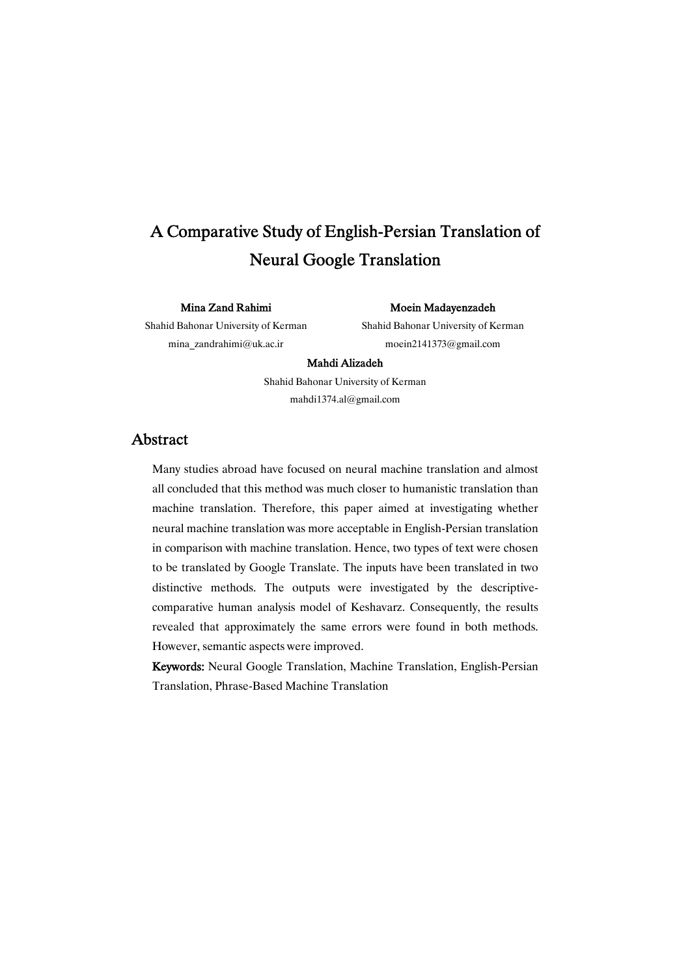# A Comparative Study of English-Persian Translation of Neural Google Translation

#### MinaZandRahimi

Shahid Bahonar University of Kerman mina\_zandrahimi@uk.ac.ir

Moein Madayenzadeh

Shahid Bahonar University of Kerman moein2141373@gmail.com

#### Mahdi Alizadeh

Shahid Bahonar University of Kerman mahdi1374.al@gmail.com

# Abstract

Many studies abroad have focused on neural machine translation and almost all concluded that this method was much closer to humanistic translation than machine translation. Therefore, this paper aimed at investigating whether neural machine translation was more acceptable in English-Persian translation in comparison with machine translation. Hence, two types of text were chosen to be translated by Google Translate. The inputs have been translated in two distinctive methods. The outputs were investigated by the descriptivecomparative human analysis model of Keshavarz. Consequently, the results revealed that approximately the same errors were found in both methods. However, semantic aspects were improved.

Keywords: Neural Google Translation, Machine Translation, English-Persian Translation, Phrase-Based Machine Translation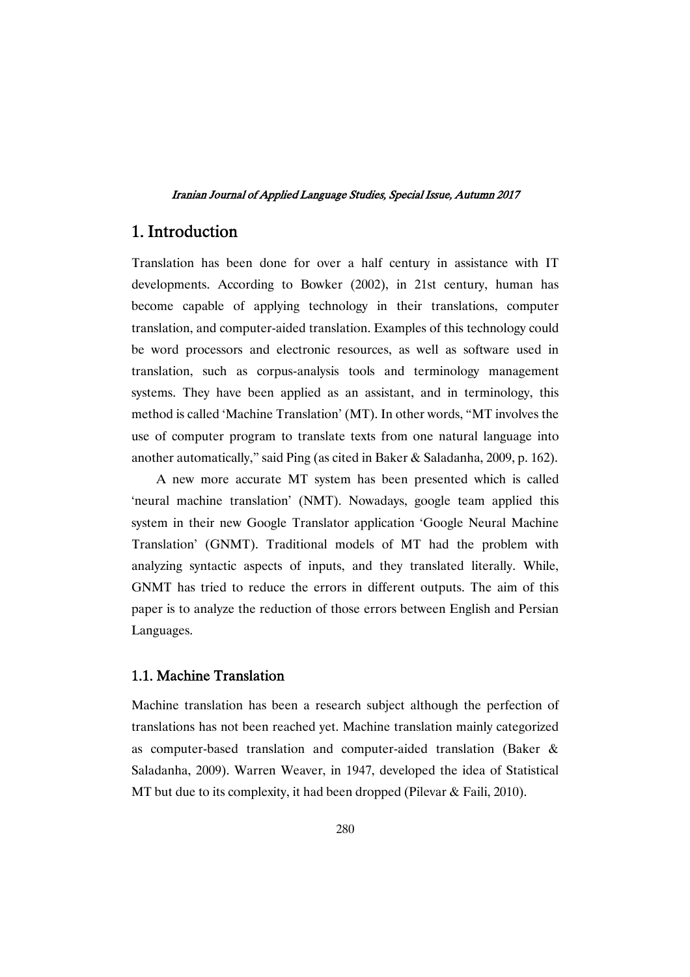# 1.Introduction

Translation has been done for over a half century in assistance with IT developments. According to Bowker (2002), in 21st century, human has become capable of applying technology in their translations, computer translation, and computer-aided translation. Examples of this technology could be word processors and electronic resources, as well as software used in translation, such as corpus-analysis tools and terminology management systems. They have been applied as an assistant, and in terminology, this method is called 'Machine Translation' (MT). In other words, "MT involves the use of computer program to translate texts from one natural language into another automatically," said Ping (as cited in Baker & Saladanha, 2009, p. 162).

A new more accurate MT system has been presented which is called 'neural machine translation' (NMT). Nowadays, google team applied this system in their new Google Translator application 'Google Neural Machine Translation' (GNMT). Traditional models of MT had the problem with analyzing syntactic aspects of inputs, and they translated literally. While, GNMT has tried to reduce the errors in different outputs. The aim of this paper is to analyze the reduction of those errors between English and Persian Languages.

## 1.1. Machine Translation

Machine translation has been a research subject although the perfection of translations has not been reached yet. Machine translation mainly categorized as computer-based translation and computer-aided translation (Baker & Saladanha, 2009). Warren Weaver, in 1947, developed the idea of Statistical MT but due to its complexity, it had been dropped (Pilevar & Faili, 2010).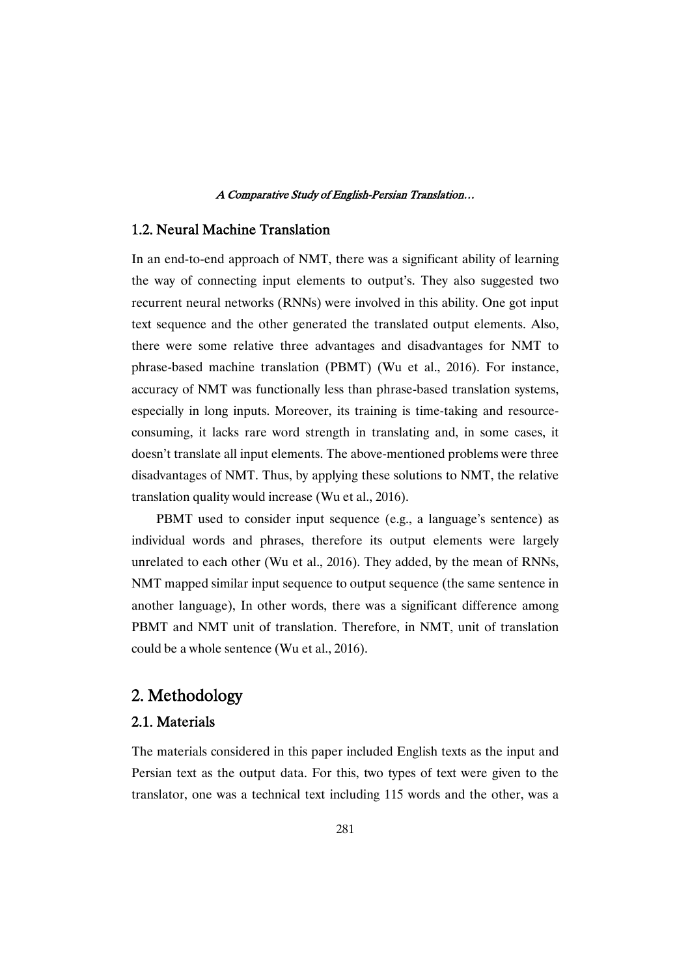#### A Comparative Study of English-Persian Translation...

# 1.2. Neural Machine Translation

In an end-to-end approach of NMT, there was a significant ability of learning the way of connecting input elements to output's. They also suggested two recurrent neural networks (RNNs) were involved in this ability. One got input text sequence and the other generated the translated output elements. Also, there were some relative three advantages and disadvantages for NMT to phrase-based machine translation (PBMT) (Wu et al., 2016). For instance, accuracy of NMT was functionally less than phrase-based translation systems, especially in long inputs. Moreover, its training is time-taking and resourceconsuming, it lacks rare word strength in translating and, in some cases, it doesn't translate all input elements. The above-mentioned problems were three disadvantages of NMT. Thus, by applying these solutions to NMT, the relative translation quality would increase (Wu et al., 2016).

PBMT used to consider input sequence (e.g., a language's sentence) as individual words and phrases, therefore its output elements were largely unrelated to each other (Wu et al., 2016). They added, by the mean of RNNs, NMT mapped similar input sequence to output sequence (the same sentence in another language), In other words, there was a significant difference among PBMT and NMT unit of translation. Therefore, in NMT, unit of translation could be a whole sentence (Wu et al., 2016).

# 2.Methodology

# 2.1.Materials

The materials considered in this paper included English texts as the input and Persian text as the output data. For this, two types of text were given to the translator, one was a technical text including 115 words and the other, was a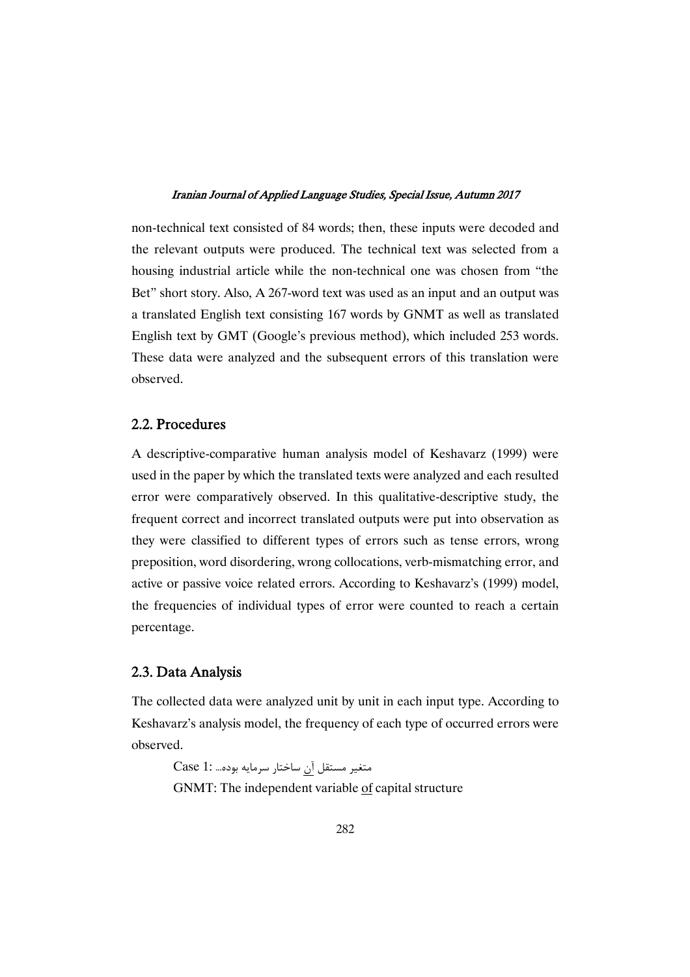non-technical text consisted of 84 words; then, these inputs were decoded and the relevant outputs were produced. The technical text was selected from a housing industrial article while the non-technical one was chosen from "the Bet" short story. Also, A 267-word text was used as an input and an output was a translated English text consisting 167 words by GNMT as well as translated English text by GMT (Google's previous method), which included 253 words. These data were analyzed and the subsequent errors of this translation were observed.

### 2.2.Procedures

A descriptive-comparative human analysis model of Keshavarz (1999) were used in the paper by which the translated texts were analyzed and each resulted error were comparatively observed. In this qualitative-descriptive study, the frequent correct and incorrect translated outputs were put into observation as they were classified to different types of errors such as tense errors, wrong preposition, word disordering, wrong collocations, verb-mismatching error, and active or passive voice related errors. According to Keshavarz's (1999) model, the frequencies of individual types of error were counted to reach a certain percentage.

### 2.3.DataAnalysis

The collected data were analyzed unit by unit in each input type. According to Keshavarz's analysis model, the frequency of each type of occurred errors were observed.

متغير مستقل آن ساختار سرمايه بوده... :Case 1 GNMT: The independent variable of capital structure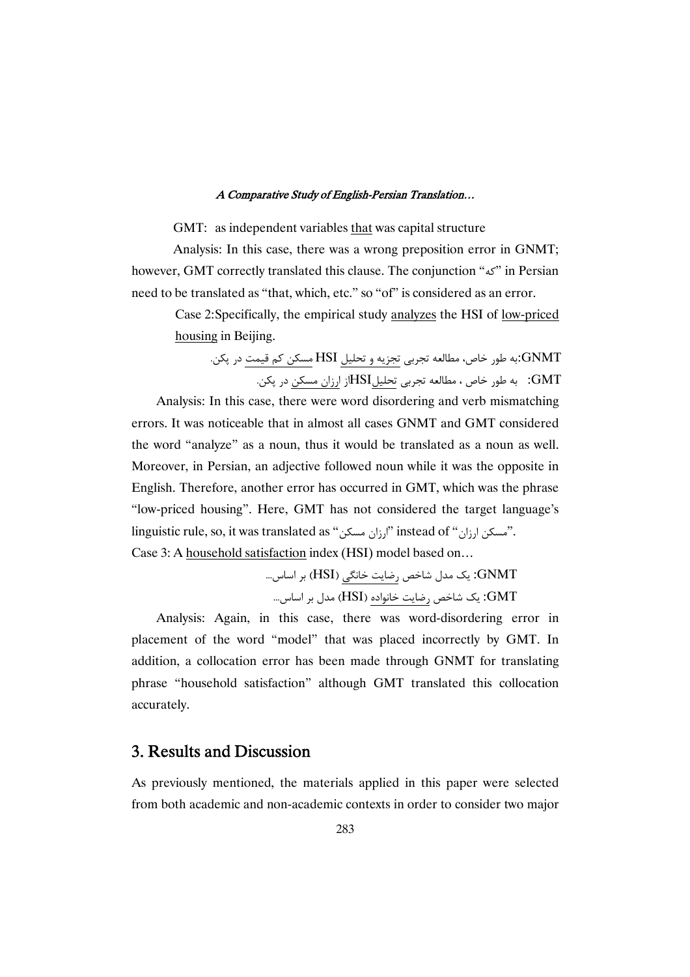#### A Comparative Study of English-Persian Translation...

GMT: as independent variables that was capital structure

Analysis: In this case, there was a wrong preposition error in GNMT; however, GMT correctly translated this clause. The conjunction "" in Persian need to be translated as "that, which, etc." so "of" is considered as an error.

Case 2:Specifically, the empirical study analyzes the HSI of low-priced housing in Beijing.

نه طور خاص، مطالعه تجربی تجزیه و تحلیل HSI مسکن کم قیمت در پکن. $\operatorname{GNMT}$ GMT: به طور خاص ، مطالعه تجربی تحلیلHSIإز ارزان مسکن در پکن.

Analysis: In this case, there were word disordering and verb mismatching errors. It was noticeable that in almost all cases GNMT and GMT considered the word "analyze" as a noun, thus it would be translated as a noun as well. Moreover, in Persian, an adjective followed noun while it was the opposite in English. Therefore, another error has occurred in GMT, which was the phrase "low-priced housing". Here, GMT has not considered the target language's linguistic rule, so, it was translated as "ارزان مسکن". "linguistic rule, so, it was translated as Case 3: A household satisfaction index (HSI) model based on…

...8 - (HSI) 34 ( 5 . / 01 2 :GNMT ...8 - 01 (HSI) --4 ( 5 . / 2 :GMT

Analysis: Again, in this case, there was word-disordering error in placement of the word "model" that was placed incorrectly by GMT. In addition, a collocation error has been made through GNMT for translating phrase "household satisfaction" although GMT translated this collocation accurately.

# 3. Results and Discussion

As previously mentioned, the materials applied in this paper were selected from both academic and non-academic contexts in order to consider two major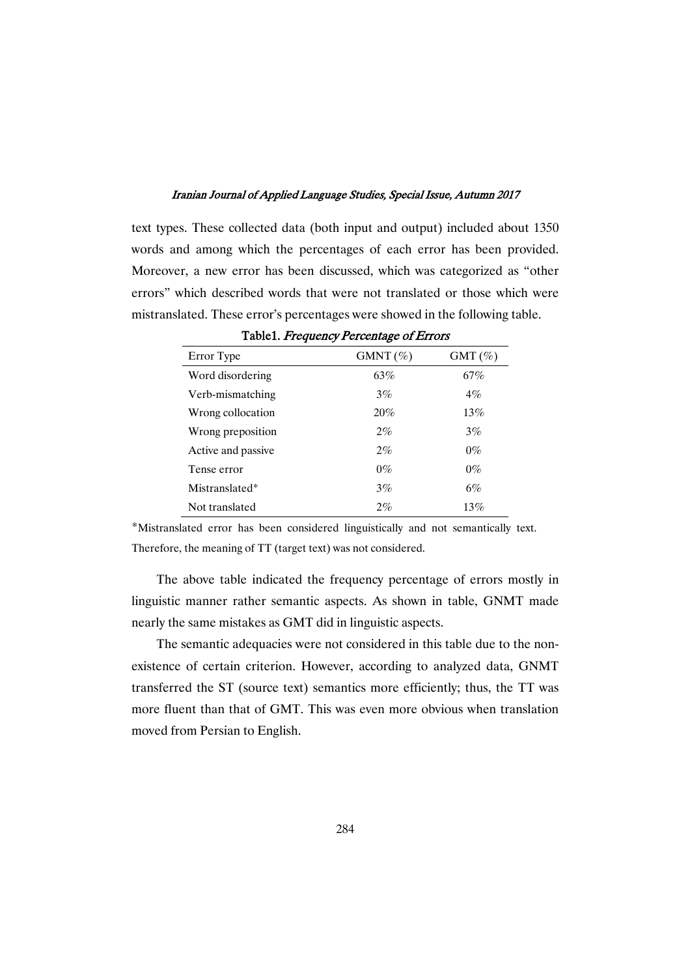text types. These collected data (both input and output) included about 1350 words and among which the percentages of each error has been provided. Moreover, a new error has been discussed, which was categorized as "other errors" which described words that were not translated or those which were mistranslated. These error's percentages were showed in the following table.

| $=$ 0.010 10 $=$ 10 $=$ 0.0010 $=$ 0.001000 $=$ 0.0010000 |             |           |
|-----------------------------------------------------------|-------------|-----------|
| Error Type                                                | GMNT $(\%)$ | $GMT(\%)$ |
| Word disordering                                          | 63%         | 67%       |
| Verb-mismatching                                          | 3%          | $4\%$     |
| Wrong collocation                                         | 20%         | 13%       |
| Wrong preposition                                         | $2\%$       | 3%        |
| Active and passive                                        | $2\%$       | $0\%$     |
| Tense error                                               | $0\%$       | $0\%$     |
| Mistranslated*                                            | 3%          | $6\%$     |
| Not translated                                            | $2\%$       | 13%       |

Table1. Frequency Percentage of Errors

\*Mistranslated error has been considered linguistically and not semantically text. Therefore, the meaning of TT (target text) was not considered.

The above table indicated the frequency percentage of errors mostly in linguistic manner rather semantic aspects. As shown in table, GNMT made nearly the same mistakes as GMT did in linguistic aspects.

The semantic adequacies were not considered in this table due to the nonexistence of certain criterion. However, according to analyzed data, GNMT transferred the ST (source text) semantics more efficiently; thus, the TT was more fluent than that of GMT. This was even more obvious when translation moved from Persian to English.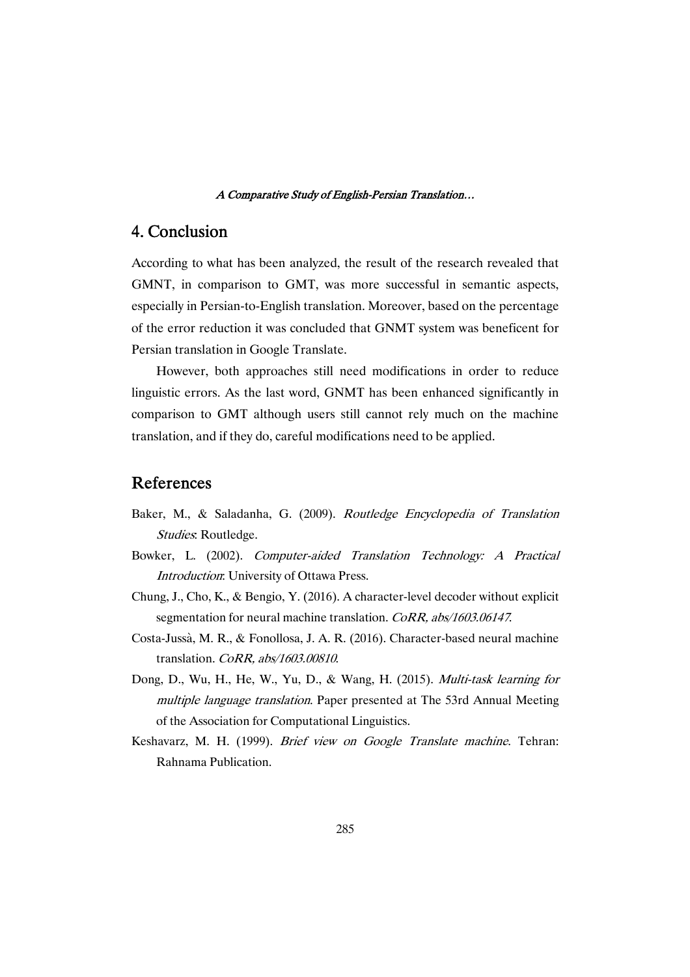#### A Comparative Study of English-Persian Translation...

# 4.Conclusion

According to what has been analyzed, the result of the research revealed that GMNT, in comparison to GMT, was more successful in semantic aspects, especially in Persian-to-English translation. Moreover, based on the percentage of the error reduction it was concluded that GNMT system was beneficent for Persian translation in Google Translate.

However, both approaches still need modifications in order to reduce linguistic errors. As the last word, GNMT has been enhanced significantly in comparison to GMT although users still cannot rely much on the machine translation, and if they do, careful modifications need to be applied.

# References

- Baker, M., & Saladanha, G. (2009). Routledge Encyclopedia of Translation Studies: Routledge.
- Bowker, L. (2002). Computer-aided Translation Technology: <sup>A</sup> Practical Introduction: University of Ottawa Press.
- Chung, J., Cho, K., & Bengio, Y. (2016). A character-level decoder without explicit segmentation for neural machine translation. CoRR, abs/1603.06147.
- Costa-Jussà, M. R., & Fonollosa, J. A. R. (2016). Character-based neural machine translation. CoRR, abs/1603.00810.
- Dong, D., Wu, H., He, W., Yu, D., & Wang, H. (2015). Multi-task learning for multiple language translation. Paper presented at The 53rd Annual Meeting of the Association for Computational Linguistics.
- Keshavarz, M. H. (1999). Brief view on Google Translate machine. Tehran: Rahnama Publication.